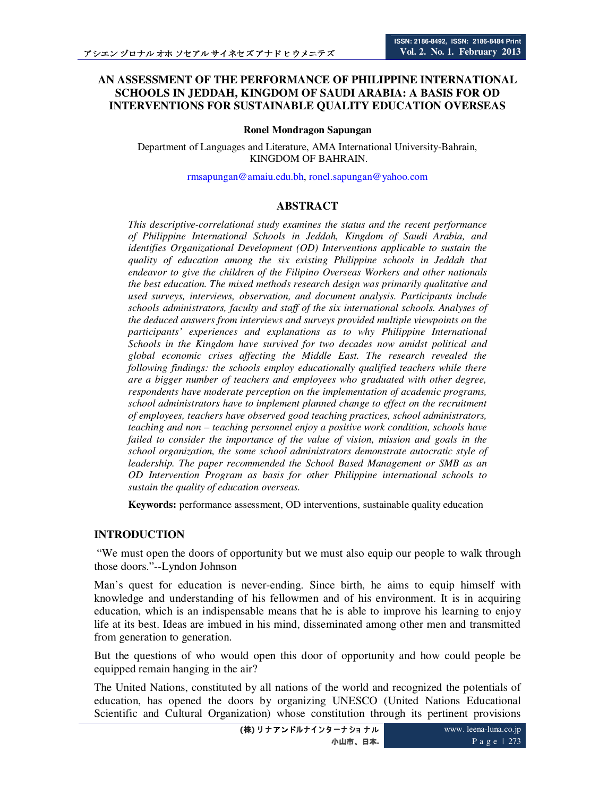## **AN ASSESSMENT OF THE PERFORMANCE OF PHILIPPINE INTERNATIONAL SCHOOLS IN JEDDAH, KINGDOM OF SAUDI ARABIA: A BASIS FOR OD INTERVENTIONS FOR SUSTAINABLE QUALITY EDUCATION OVERSEAS**

#### **Ronel Mondragon Sapungan**

Department of Languages and Literature, AMA International University-Bahrain, KINGDOM OF BAHRAIN.

rmsapungan@amaiu.edu.bh, ronel.sapungan@yahoo.com

#### **ABSTRACT**

*This descriptive-correlational study examines the status and the recent performance of Philippine International Schools in Jeddah, Kingdom of Saudi Arabia, and identifies Organizational Development (OD) Interventions applicable to sustain the quality of education among the six existing Philippine schools in Jeddah that endeavor to give the children of the Filipino Overseas Workers and other nationals the best education. The mixed methods research design was primarily qualitative and used surveys, interviews, observation, and document analysis. Participants include schools administrators, faculty and staff of the six international schools. Analyses of the deduced answers from interviews and surveys provided multiple viewpoints on the participants' experiences and explanations as to why Philippine International Schools in the Kingdom have survived for two decades now amidst political and global economic crises affecting the Middle East. The research revealed the following findings: the schools employ educationally qualified teachers while there are a bigger number of teachers and employees who graduated with other degree, respondents have moderate perception on the implementation of academic programs, school administrators have to implement planned change to effect on the recruitment of employees, teachers have observed good teaching practices, school administrators, teaching and non – teaching personnel enjoy a positive work condition, schools have failed to consider the importance of the value of vision, mission and goals in the school organization, the some school administrators demonstrate autocratic style of leadership. The paper recommended the School Based Management or SMB as an OD Intervention Program as basis for other Philippine international schools to sustain the quality of education overseas.* 

**Keywords:** performance assessment, OD interventions, sustainable quality education

### **INTRODUCTION**

 "We must open the doors of opportunity but we must also equip our people to walk through those doors."--Lyndon Johnson

Man's quest for education is never-ending. Since birth, he aims to equip himself with knowledge and understanding of his fellowmen and of his environment. It is in acquiring education, which is an indispensable means that he is able to improve his learning to enjoy life at its best. Ideas are imbued in his mind, disseminated among other men and transmitted from generation to generation.

But the questions of who would open this door of opportunity and how could people be equipped remain hanging in the air?

The United Nations, constituted by all nations of the world and recognized the potentials of education, has opened the doors by organizing UNESCO (United Nations Educational Scientific and Cultural Organization) whose constitution through its pertinent provisions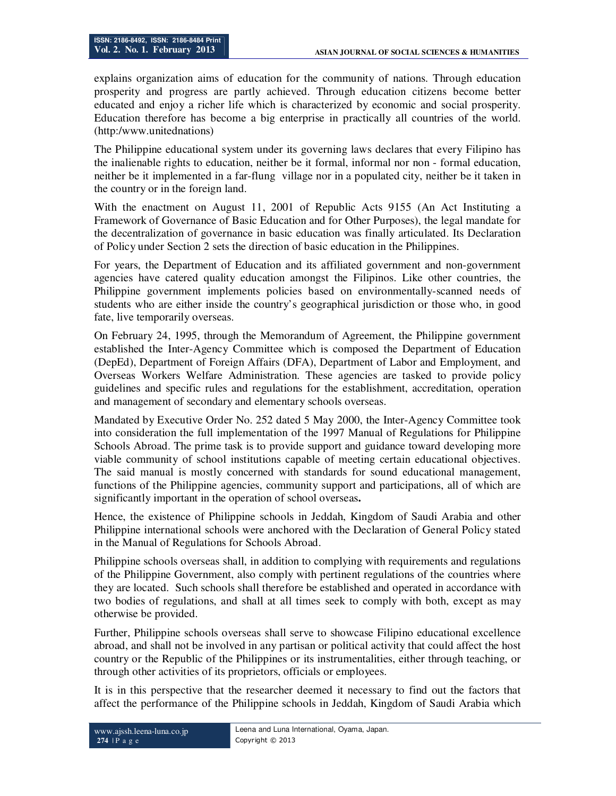explains organization aims of education for the community of nations. Through education prosperity and progress are partly achieved. Through education citizens become better educated and enjoy a richer life which is characterized by economic and social prosperity. Education therefore has become a big enterprise in practically all countries of the world. (http:/www.unitednations)

The Philippine educational system under its governing laws declares that every Filipino has the inalienable rights to education, neither be it formal, informal nor non - formal education, neither be it implemented in a far-flung village nor in a populated city, neither be it taken in the country or in the foreign land.

With the enactment on August 11, 2001 of Republic Acts 9155 (An Act Instituting a Framework of Governance of Basic Education and for Other Purposes), the legal mandate for the decentralization of governance in basic education was finally articulated. Its Declaration of Policy under Section 2 sets the direction of basic education in the Philippines.

For years, the Department of Education and its affiliated government and non-government agencies have catered quality education amongst the Filipinos. Like other countries, the Philippine government implements policies based on environmentally-scanned needs of students who are either inside the country's geographical jurisdiction or those who, in good fate, live temporarily overseas.

On February 24, 1995, through the Memorandum of Agreement, the Philippine government established the Inter-Agency Committee which is composed the Department of Education (DepEd), Department of Foreign Affairs (DFA), Department of Labor and Employment, and Overseas Workers Welfare Administration. These agencies are tasked to provide policy guidelines and specific rules and regulations for the establishment, accreditation, operation and management of secondary and elementary schools overseas.

Mandated by Executive Order No. 252 dated 5 May 2000, the Inter-Agency Committee took into consideration the full implementation of the 1997 Manual of Regulations for Philippine Schools Abroad. The prime task is to provide support and guidance toward developing more viable community of school institutions capable of meeting certain educational objectives. The said manual is mostly concerned with standards for sound educational management, functions of the Philippine agencies, community support and participations, all of which are significantly important in the operation of school overseas**.**

Hence, the existence of Philippine schools in Jeddah, Kingdom of Saudi Arabia and other Philippine international schools were anchored with the Declaration of General Policy stated in the Manual of Regulations for Schools Abroad.

Philippine schools overseas shall, in addition to complying with requirements and regulations of the Philippine Government, also comply with pertinent regulations of the countries where they are located. Such schools shall therefore be established and operated in accordance with two bodies of regulations, and shall at all times seek to comply with both, except as may otherwise be provided.

Further, Philippine schools overseas shall serve to showcase Filipino educational excellence abroad, and shall not be involved in any partisan or political activity that could affect the host country or the Republic of the Philippines or its instrumentalities, either through teaching, or through other activities of its proprietors, officials or employees.

It is in this perspective that the researcher deemed it necessary to find out the factors that affect the performance of the Philippine schools in Jeddah, Kingdom of Saudi Arabia which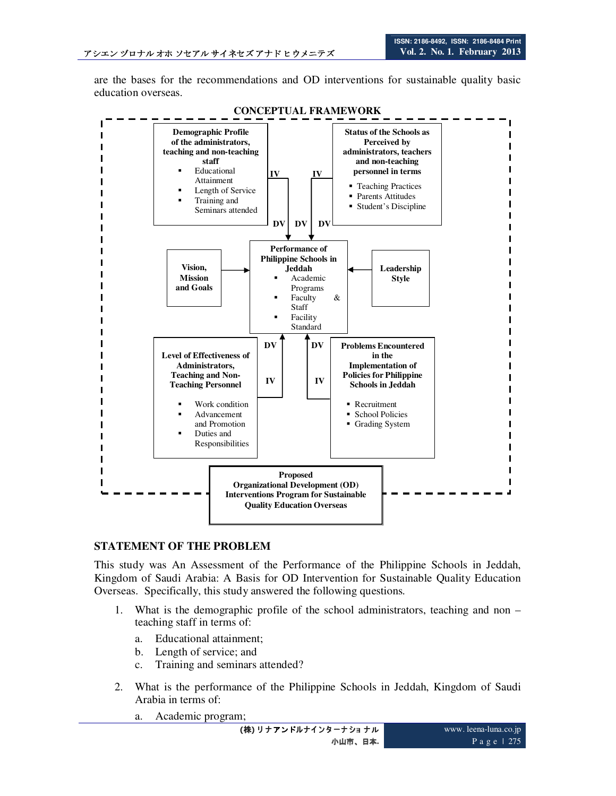are the bases for the recommendations and OD interventions for sustainable quality basic education overseas.



## **STATEMENT OF THE PROBLEM**

This study was An Assessment of the Performance of the Philippine Schools in Jeddah, Kingdom of Saudi Arabia: A Basis for OD Intervention for Sustainable Quality Education Overseas. Specifically, this study answered the following questions.

- 1. What is the demographic profile of the school administrators, teaching and non teaching staff in terms of:
	- a. Educational attainment;
	- b. Length of service; and
	- c. Training and seminars attended?
- 2. What is the performance of the Philippine Schools in Jeddah, Kingdom of Saudi Arabia in terms of:
	- a. Academic program;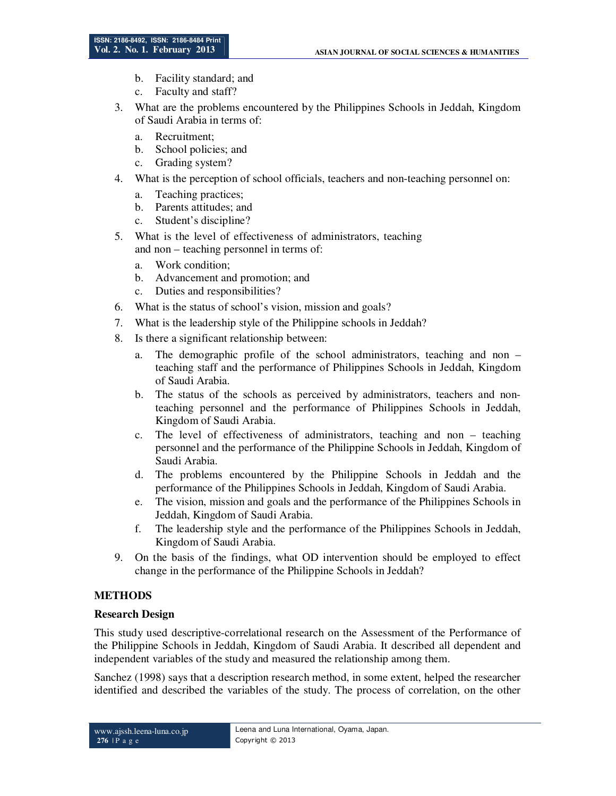- b. Facility standard; and
- c. Faculty and staff?
- 3. What are the problems encountered by the Philippines Schools in Jeddah, Kingdom of Saudi Arabia in terms of:
	- a. Recruitment;
	- b. School policies; and
	- c. Grading system?
- 4. What is the perception of school officials, teachers and non-teaching personnel on:
	- a. Teaching practices;
	- b. Parents attitudes; and
	- c. Student's discipline?
- 5. What is the level of effectiveness of administrators, teaching and non – teaching personnel in terms of:
	- a. Work condition;
	- b. Advancement and promotion; and
	- c. Duties and responsibilities?
- 6. What is the status of school's vision, mission and goals?
- 7. What is the leadership style of the Philippine schools in Jeddah?
- 8. Is there a significant relationship between:
	- a. The demographic profile of the school administrators, teaching and non teaching staff and the performance of Philippines Schools in Jeddah, Kingdom of Saudi Arabia.
	- b. The status of the schools as perceived by administrators, teachers and nonteaching personnel and the performance of Philippines Schools in Jeddah, Kingdom of Saudi Arabia.
	- c. The level of effectiveness of administrators, teaching and non teaching personnel and the performance of the Philippine Schools in Jeddah, Kingdom of Saudi Arabia.
	- d. The problems encountered by the Philippine Schools in Jeddah and the performance of the Philippines Schools in Jeddah, Kingdom of Saudi Arabia.
	- e. The vision, mission and goals and the performance of the Philippines Schools in Jeddah, Kingdom of Saudi Arabia.
	- f. The leadership style and the performance of the Philippines Schools in Jeddah, Kingdom of Saudi Arabia.
- 9. On the basis of the findings, what OD intervention should be employed to effect change in the performance of the Philippine Schools in Jeddah?

# **METHODS**

### **Research Design**

This study used descriptive-correlational research on the Assessment of the Performance of the Philippine Schools in Jeddah, Kingdom of Saudi Arabia. It described all dependent and independent variables of the study and measured the relationship among them.

Sanchez (1998) says that a description research method, in some extent, helped the researcher identified and described the variables of the study. The process of correlation, on the other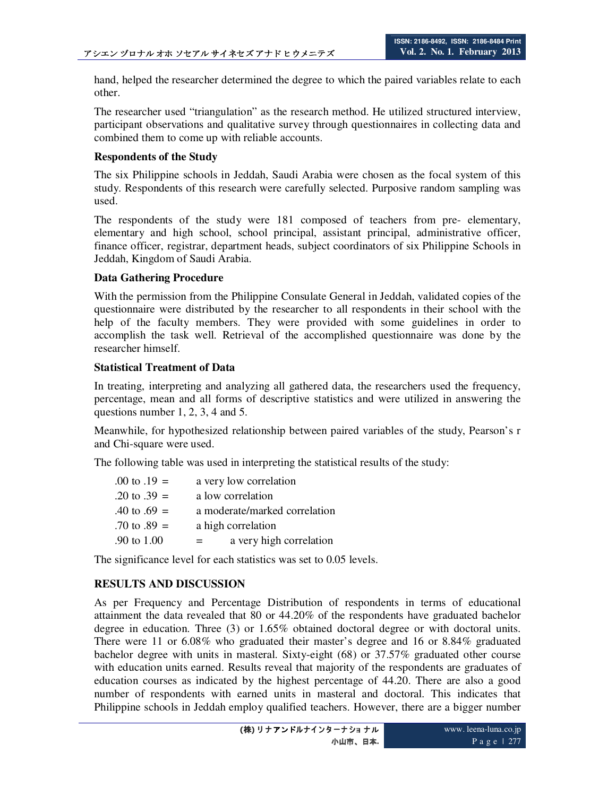hand, helped the researcher determined the degree to which the paired variables relate to each other.

The researcher used "triangulation" as the research method. He utilized structured interview, participant observations and qualitative survey through questionnaires in collecting data and combined them to come up with reliable accounts.

## **Respondents of the Study**

The six Philippine schools in Jeddah, Saudi Arabia were chosen as the focal system of this study. Respondents of this research were carefully selected. Purposive random sampling was used.

The respondents of the study were 181 composed of teachers from pre- elementary, elementary and high school, school principal, assistant principal, administrative officer, finance officer, registrar, department heads, subject coordinators of six Philippine Schools in Jeddah, Kingdom of Saudi Arabia.

### **Data Gathering Procedure**

With the permission from the Philippine Consulate General in Jeddah, validated copies of the questionnaire were distributed by the researcher to all respondents in their school with the help of the faculty members. They were provided with some guidelines in order to accomplish the task well. Retrieval of the accomplished questionnaire was done by the researcher himself.

### **Statistical Treatment of Data**

In treating, interpreting and analyzing all gathered data, the researchers used the frequency, percentage, mean and all forms of descriptive statistics and were utilized in answering the questions number 1, 2, 3, 4 and 5.

Meanwhile, for hypothesized relationship between paired variables of the study, Pearson's r and Chi-square were used.

The following table was used in interpreting the statistical results of the study:

| $.00 \text{ to } .19 =$ | a very low correlation        |
|-------------------------|-------------------------------|
| .20 to .39 $=$          | a low correlation             |
| $.40 \text{ to } .69 =$ | a moderate/marked correlation |
| $.70 \text{ to } .89 =$ | a high correlation            |
| .90 to 1.00             | a very high correlation       |

The significance level for each statistics was set to 0.05 levels.

# **RESULTS AND DISCUSSION**

As per Frequency and Percentage Distribution of respondents in terms of educational attainment the data revealed that 80 or 44.20% of the respondents have graduated bachelor degree in education. Three (3) or 1.65% obtained doctoral degree or with doctoral units. There were 11 or 6.08% who graduated their master's degree and 16 or 8.84% graduated bachelor degree with units in masteral. Sixty-eight (68) or 37.57% graduated other course with education units earned. Results reveal that majority of the respondents are graduates of education courses as indicated by the highest percentage of 44.20. There are also a good number of respondents with earned units in masteral and doctoral. This indicates that Philippine schools in Jeddah employ qualified teachers. However, there are a bigger number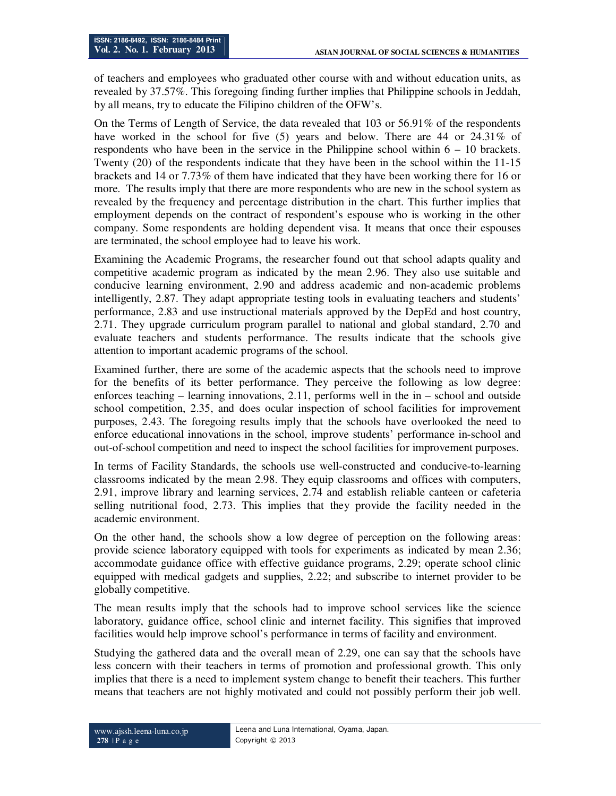of teachers and employees who graduated other course with and without education units, as revealed by 37.57%. This foregoing finding further implies that Philippine schools in Jeddah, by all means, try to educate the Filipino children of the OFW's.

On the Terms of Length of Service, the data revealed that 103 or 56.91% of the respondents have worked in the school for five (5) years and below. There are 44 or 24.31% of respondents who have been in the service in the Philippine school within  $6 - 10$  brackets. Twenty (20) of the respondents indicate that they have been in the school within the 11-15 brackets and 14 or 7.73% of them have indicated that they have been working there for 16 or more. The results imply that there are more respondents who are new in the school system as revealed by the frequency and percentage distribution in the chart. This further implies that employment depends on the contract of respondent's espouse who is working in the other company. Some respondents are holding dependent visa. It means that once their espouses are terminated, the school employee had to leave his work.

Examining the Academic Programs, the researcher found out that school adapts quality and competitive academic program as indicated by the mean 2.96. They also use suitable and conducive learning environment, 2.90 and address academic and non-academic problems intelligently, 2.87. They adapt appropriate testing tools in evaluating teachers and students' performance, 2.83 and use instructional materials approved by the DepEd and host country, 2.71. They upgrade curriculum program parallel to national and global standard, 2.70 and evaluate teachers and students performance. The results indicate that the schools give attention to important academic programs of the school.

Examined further, there are some of the academic aspects that the schools need to improve for the benefits of its better performance. They perceive the following as low degree: enforces teaching – learning innovations, 2.11, performs well in the in – school and outside school competition, 2.35, and does ocular inspection of school facilities for improvement purposes, 2.43. The foregoing results imply that the schools have overlooked the need to enforce educational innovations in the school, improve students' performance in-school and out-of-school competition and need to inspect the school facilities for improvement purposes.

In terms of Facility Standards, the schools use well-constructed and conducive-to-learning classrooms indicated by the mean 2.98. They equip classrooms and offices with computers, 2.91, improve library and learning services, 2.74 and establish reliable canteen or cafeteria selling nutritional food, 2.73. This implies that they provide the facility needed in the academic environment.

On the other hand, the schools show a low degree of perception on the following areas: provide science laboratory equipped with tools for experiments as indicated by mean 2.36; accommodate guidance office with effective guidance programs, 2.29; operate school clinic equipped with medical gadgets and supplies, 2.22; and subscribe to internet provider to be globally competitive.

The mean results imply that the schools had to improve school services like the science laboratory, guidance office, school clinic and internet facility. This signifies that improved facilities would help improve school's performance in terms of facility and environment.

Studying the gathered data and the overall mean of 2.29, one can say that the schools have less concern with their teachers in terms of promotion and professional growth. This only implies that there is a need to implement system change to benefit their teachers. This further means that teachers are not highly motivated and could not possibly perform their job well.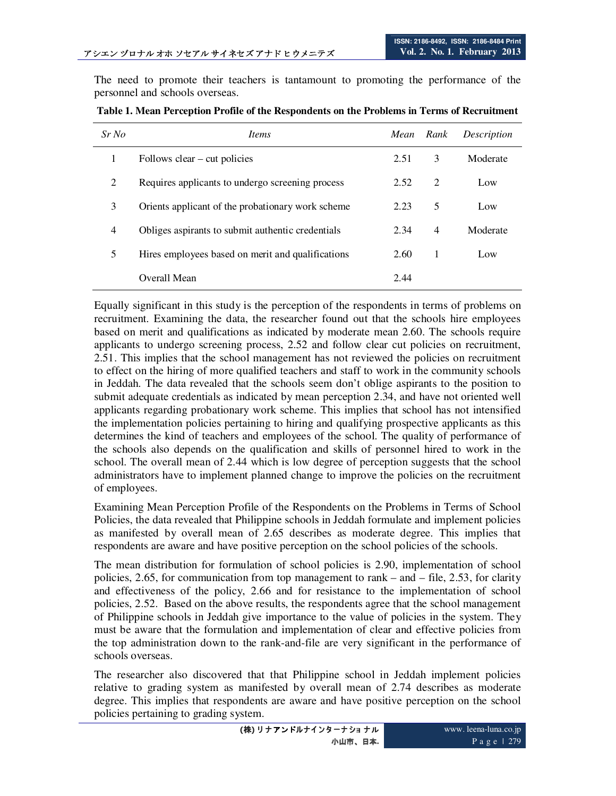The need to promote their teachers is tantamount to promoting the performance of the personnel and schools overseas.

| $Sr$ No | <i>Items</i>                                      | Mean | Rank           | Description |
|---------|---------------------------------------------------|------|----------------|-------------|
|         | Follows $clear - cut policies$                    | 2.51 | 3              | Moderate    |
| 2       | Requires applicants to undergo screening process  | 2.52 | 2              | Low         |
| 3       | Orients applicant of the probationary work scheme | 2.23 | 5              | Low         |
| 4       | Obliges aspirants to submit authentic credentials | 2.34 | $\overline{4}$ | Moderate    |
| 5       | Hires employees based on merit and qualifications | 2.60 | 1              | Low         |
|         | Overall Mean                                      | 2.44 |                |             |

**Table 1. Mean Perception Profile of the Respondents on the Problems in Terms of Recruitment** 

Equally significant in this study is the perception of the respondents in terms of problems on recruitment. Examining the data, the researcher found out that the schools hire employees based on merit and qualifications as indicated by moderate mean 2.60. The schools require applicants to undergo screening process, 2.52 and follow clear cut policies on recruitment, 2.51. This implies that the school management has not reviewed the policies on recruitment to effect on the hiring of more qualified teachers and staff to work in the community schools in Jeddah. The data revealed that the schools seem don't oblige aspirants to the position to submit adequate credentials as indicated by mean perception 2.34, and have not oriented well applicants regarding probationary work scheme. This implies that school has not intensified the implementation policies pertaining to hiring and qualifying prospective applicants as this determines the kind of teachers and employees of the school. The quality of performance of the schools also depends on the qualification and skills of personnel hired to work in the school. The overall mean of 2.44 which is low degree of perception suggests that the school administrators have to implement planned change to improve the policies on the recruitment of employees.

Examining Mean Perception Profile of the Respondents on the Problems in Terms of School Policies, the data revealed that Philippine schools in Jeddah formulate and implement policies as manifested by overall mean of 2.65 describes as moderate degree. This implies that respondents are aware and have positive perception on the school policies of the schools.

The mean distribution for formulation of school policies is 2.90, implementation of school policies, 2.65, for communication from top management to rank – and – file, 2.53, for clarity and effectiveness of the policy, 2.66 and for resistance to the implementation of school policies, 2.52. Based on the above results, the respondents agree that the school management of Philippine schools in Jeddah give importance to the value of policies in the system. They must be aware that the formulation and implementation of clear and effective policies from the top administration down to the rank-and-file are very significant in the performance of schools overseas.

The researcher also discovered that that Philippine school in Jeddah implement policies relative to grading system as manifested by overall mean of 2.74 describes as moderate degree. This implies that respondents are aware and have positive perception on the school policies pertaining to grading system.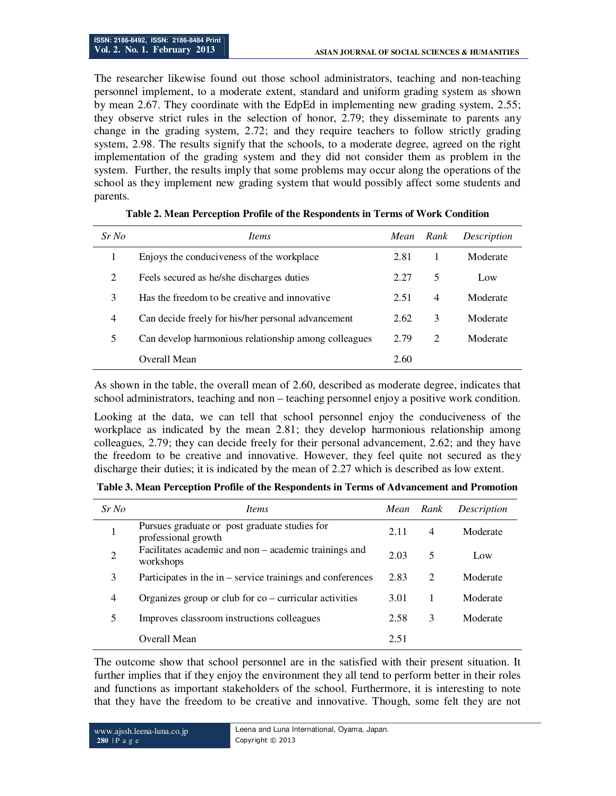The researcher likewise found out those school administrators, teaching and non-teaching personnel implement, to a moderate extent, standard and uniform grading system as shown by mean 2.67. They coordinate with the EdpEd in implementing new grading system, 2.55; they observe strict rules in the selection of honor, 2.79; they disseminate to parents any change in the grading system, 2.72; and they require teachers to follow strictly grading system, 2.98. The results signify that the schools, to a moderate degree, agreed on the right implementation of the grading system and they did not consider them as problem in the system. Further, the results imply that some problems may occur along the operations of the school as they implement new grading system that would possibly affect some students and parents.

| $Sr$ No        | <i>Items</i>                                         | Mean | Rank           | Description |
|----------------|------------------------------------------------------|------|----------------|-------------|
| 1              | Enjoys the conductiveness of the workplace           | 2.81 |                | Moderate    |
| 2              | Feels secured as he/she discharges duties            | 2.27 | 5              | Low         |
| 3              | Has the freedom to be creative and innovative        | 2.51 | $\overline{4}$ | Moderate    |
| $\overline{4}$ | Can decide freely for his/her personal advancement   | 2.62 | 3              | Moderate    |
| 5              | Can develop harmonious relationship among colleagues | 2.79 | $\mathfrak{D}$ | Moderate    |
|                | Overall Mean                                         | 2.60 |                |             |

#### **Table 2. Mean Perception Profile of the Respondents in Terms of Work Condition**

As shown in the table, the overall mean of 2.60, described as moderate degree, indicates that school administrators, teaching and non – teaching personnel enjoy a positive work condition.

Looking at the data, we can tell that school personnel enjoy the conduciveness of the workplace as indicated by the mean 2.81; they develop harmonious relationship among colleagues, 2.79; they can decide freely for their personal advancement, 2.62; and they have the freedom to be creative and innovative. However, they feel quite not secured as they discharge their duties; it is indicated by the mean of 2.27 which is described as low extent.

|  |  |  |  | Table 3. Mean Perception Profile of the Respondents in Terms of Advancement and Promotion |
|--|--|--|--|-------------------------------------------------------------------------------------------|
|  |  |  |  |                                                                                           |

| $Sr$ No        | <i>Items</i>                                                         | Mean | Rank           | Description |
|----------------|----------------------------------------------------------------------|------|----------------|-------------|
|                | Pursues graduate or post graduate studies for<br>professional growth | 2.11 | $\overline{4}$ | Moderate    |
| $\overline{2}$ | Facilitates academic and non – academic trainings and<br>workshops   | 2.03 | 5              | Low         |
| 3              | Participates in the $in$ – service trainings and conferences         | 2.83 | 2              | Moderate    |
| 4              | Organizes group or club for $\cos$ – curricular activities           | 3.01 |                | Moderate    |
|                | Improves classroom instructions colleagues                           | 2.58 | 3              | Moderate    |
|                | Overall Mean                                                         | 2.51 |                |             |

The outcome show that school personnel are in the satisfied with their present situation. It further implies that if they enjoy the environment they all tend to perform better in their roles and functions as important stakeholders of the school. Furthermore, it is interesting to note that they have the freedom to be creative and innovative. Though, some felt they are not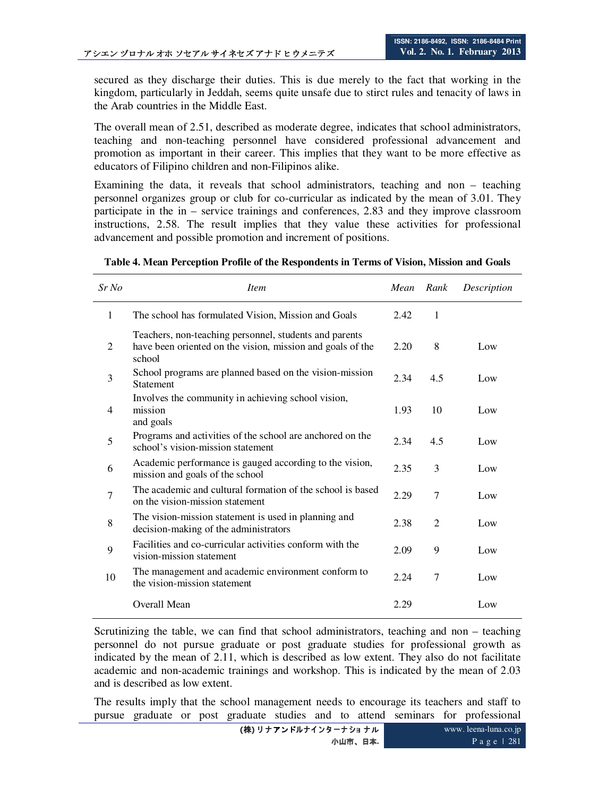secured as they discharge their duties. This is due merely to the fact that working in the kingdom, particularly in Jeddah, seems quite unsafe due to stirct rules and tenacity of laws in the Arab countries in the Middle East.

The overall mean of 2.51, described as moderate degree, indicates that school administrators, teaching and non-teaching personnel have considered professional advancement and promotion as important in their career. This implies that they want to be more effective as educators of Filipino children and non-Filipinos alike.

Examining the data, it reveals that school administrators, teaching and non – teaching personnel organizes group or club for co-curricular as indicated by the mean of 3.01. They participate in the in – service trainings and conferences, 2.83 and they improve classroom instructions, 2.58. The result implies that they value these activities for professional advancement and possible promotion and increment of positions.

| Sr No          | <i>Item</i>                                                                                                                    | Mean Rank |                | Description |
|----------------|--------------------------------------------------------------------------------------------------------------------------------|-----------|----------------|-------------|
| 1              | The school has formulated Vision, Mission and Goals                                                                            | 2.42      | $\mathbf{1}$   |             |
| 2              | Teachers, non-teaching personnel, students and parents<br>have been oriented on the vision, mission and goals of the<br>school | 2.20      | 8              | Low         |
| 3              | School programs are planned based on the vision-mission<br><b>Statement</b>                                                    | 2.34      | 4.5            | Low         |
| $\overline{4}$ | Involves the community in achieving school vision,<br>mission<br>and goals                                                     | 1.93      | 10             | Low         |
| 5              | Programs and activities of the school are anchored on the<br>school's vision-mission statement                                 | 2.34      | 4.5            | Low         |
| 6              | Academic performance is gauged according to the vision,<br>mission and goals of the school                                     | 2.35      | 3              | Low         |
| $\overline{7}$ | The academic and cultural formation of the school is based<br>on the vision-mission statement                                  | 2.29      | $\overline{7}$ | Low         |
| 8              | The vision-mission statement is used in planning and<br>decision-making of the administrators                                  | 2.38      | $\overline{2}$ | Low         |
| 9              | Facilities and co-curricular activities conform with the<br>vision-mission statement                                           | 2.09      | 9              | Low         |
| 10             | The management and academic environment conform to<br>the vision-mission statement                                             | 2.24      | $\overline{7}$ | Low         |
|                | Overall Mean                                                                                                                   | 2.29      |                | Low         |

**Table 4. Mean Perception Profile of the Respondents in Terms of Vision, Mission and Goals** 

Scrutinizing the table, we can find that school administrators, teaching and non – teaching personnel do not pursue graduate or post graduate studies for professional growth as indicated by the mean of 2.11, which is described as low extent. They also do not facilitate academic and non-academic trainings and workshop. This is indicated by the mean of 2.03 and is described as low extent.

The results imply that the school management needs to encourage its teachers and staff to pursue graduate or post graduate studies and to attend seminars for professional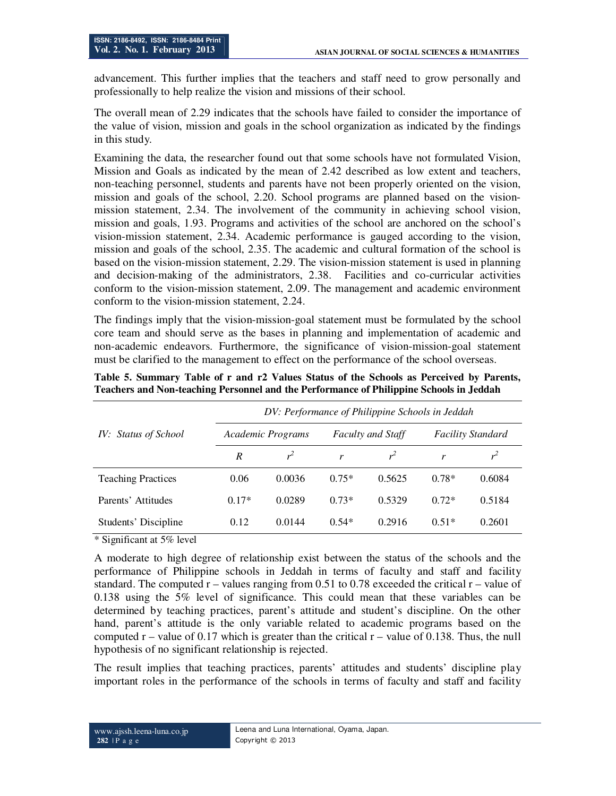advancement. This further implies that the teachers and staff need to grow personally and professionally to help realize the vision and missions of their school.

The overall mean of 2.29 indicates that the schools have failed to consider the importance of the value of vision, mission and goals in the school organization as indicated by the findings in this study.

Examining the data, the researcher found out that some schools have not formulated Vision, Mission and Goals as indicated by the mean of 2.42 described as low extent and teachers, non-teaching personnel, students and parents have not been properly oriented on the vision, mission and goals of the school, 2.20. School programs are planned based on the visionmission statement, 2.34. The involvement of the community in achieving school vision, mission and goals, 1.93. Programs and activities of the school are anchored on the school's vision-mission statement, 2.34. Academic performance is gauged according to the vision, mission and goals of the school, 2.35. The academic and cultural formation of the school is based on the vision-mission statement, 2.29. The vision-mission statement is used in planning and decision-making of the administrators, 2.38. Facilities and co-curricular activities conform to the vision-mission statement, 2.09. The management and academic environment conform to the vision-mission statement, 2.24.

The findings imply that the vision-mission-goal statement must be formulated by the school core team and should serve as the bases in planning and implementation of academic and non-academic endeavors. Furthermore, the significance of vision-mission-goal statement must be clarified to the management to effect on the performance of the school overseas.

|                           | DV: Performance of Philippine Schools in Jeddah |                   |         |                          |                          |        |  |  |
|---------------------------|-------------------------------------------------|-------------------|---------|--------------------------|--------------------------|--------|--|--|
| IV: Status of School      |                                                 | Academic Programs |         | <b>Faculty and Staff</b> | <b>Facility Standard</b> |        |  |  |
|                           | R                                               | $\mathbf{r}^2$    | r       |                          | r                        |        |  |  |
| <b>Teaching Practices</b> | 0.06                                            | 0.0036            | $0.75*$ | 0.5625                   | $0.78*$                  | 0.6084 |  |  |
| Parents' Attitudes        | $0.17*$                                         | 0.0289            | $0.73*$ | 0.5329                   | $0.72*$                  | 0.5184 |  |  |
| Students' Discipline      | 0.12                                            | 0.0144            | $0.54*$ | 0.2916                   | $0.51*$                  | 0.2601 |  |  |

**Table 5. Summary Table of r and r2 Values Status of the Schools as Perceived by Parents, Teachers and Non-teaching Personnel and the Performance of Philippine Schools in Jeddah** 

\* Significant at 5% level

A moderate to high degree of relationship exist between the status of the schools and the performance of Philippine schools in Jeddah in terms of faculty and staff and facility standard. The computed  $r -$  values ranging from 0.51 to 0.78 exceeded the critical  $r -$  value of 0.138 using the 5% level of significance. This could mean that these variables can be determined by teaching practices, parent's attitude and student's discipline. On the other hand, parent's attitude is the only variable related to academic programs based on the computed  $r -$  value of 0.17 which is greater than the critical  $r -$  value of 0.138. Thus, the null hypothesis of no significant relationship is rejected.

The result implies that teaching practices, parents' attitudes and students' discipline play important roles in the performance of the schools in terms of faculty and staff and facility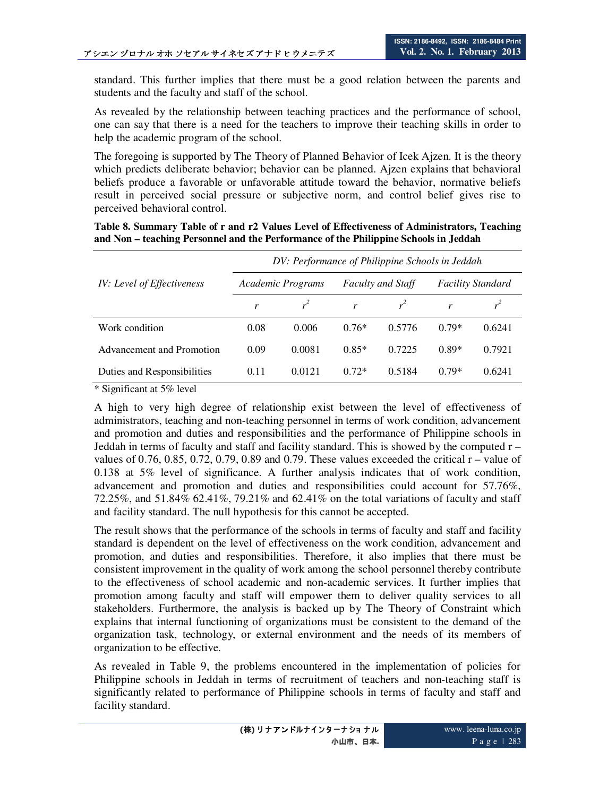standard. This further implies that there must be a good relation between the parents and students and the faculty and staff of the school.

As revealed by the relationship between teaching practices and the performance of school, one can say that there is a need for the teachers to improve their teaching skills in order to help the academic program of the school.

The foregoing is supported by The Theory of Planned Behavior of Icek Ajzen. It is the theory which predicts deliberate behavior; behavior can be planned. Ajzen explains that behavioral beliefs produce a favorable or unfavorable attitude toward the behavior, normative beliefs result in perceived social pressure or subjective norm, and control belief gives rise to perceived behavioral control.

**Table 8. Summary Table of r and r2 Values Level of Effectiveness of Administrators, Teaching and Non – teaching Personnel and the Performance of the Philippine Schools in Jeddah** 

|                             | DV: Performance of Philippine Schools in Jeddah |        |         |                          |                          |        |  |  |
|-----------------------------|-------------------------------------------------|--------|---------|--------------------------|--------------------------|--------|--|--|
| IV: Level of Effectiveness  | Academic Programs                               |        |         | <b>Faculty and Staff</b> | <b>Facility Standard</b> |        |  |  |
|                             |                                                 |        | r       |                          | r                        |        |  |  |
| Work condition              | 0.08                                            | 0.006  | $0.76*$ | 0.5776                   | $0.79*$                  | 0.6241 |  |  |
| Advancement and Promotion   | 0.09                                            | 0.0081 | $0.85*$ | 0.7225                   | $0.89*$                  | 0.7921 |  |  |
| Duties and Responsibilities | 0.11                                            | 0.0121 | $0.72*$ | 0.5184                   | $0.79*$                  | 0.6241 |  |  |

\* Significant at 5% level

A high to very high degree of relationship exist between the level of effectiveness of administrators, teaching and non-teaching personnel in terms of work condition, advancement and promotion and duties and responsibilities and the performance of Philippine schools in Jeddah in terms of faculty and staff and facility standard. This is showed by the computed  $r$ values of  $0.76$ ,  $0.85$ ,  $0.72$ ,  $0.79$ ,  $0.89$  and  $0.79$ . These values exceeded the critical  $r -$  value of 0.138 at 5% level of significance. A further analysis indicates that of work condition, advancement and promotion and duties and responsibilities could account for 57.76%, 72.25%, and 51.84% 62.41%, 79.21% and 62.41% on the total variations of faculty and staff and facility standard. The null hypothesis for this cannot be accepted.

The result shows that the performance of the schools in terms of faculty and staff and facility standard is dependent on the level of effectiveness on the work condition, advancement and promotion, and duties and responsibilities. Therefore, it also implies that there must be consistent improvement in the quality of work among the school personnel thereby contribute to the effectiveness of school academic and non-academic services. It further implies that promotion among faculty and staff will empower them to deliver quality services to all stakeholders. Furthermore, the analysis is backed up by The Theory of Constraint which explains that internal functioning of organizations must be consistent to the demand of the organization task, technology, or external environment and the needs of its members of organization to be effective.

As revealed in Table 9, the problems encountered in the implementation of policies for Philippine schools in Jeddah in terms of recruitment of teachers and non-teaching staff is significantly related to performance of Philippine schools in terms of faculty and staff and facility standard.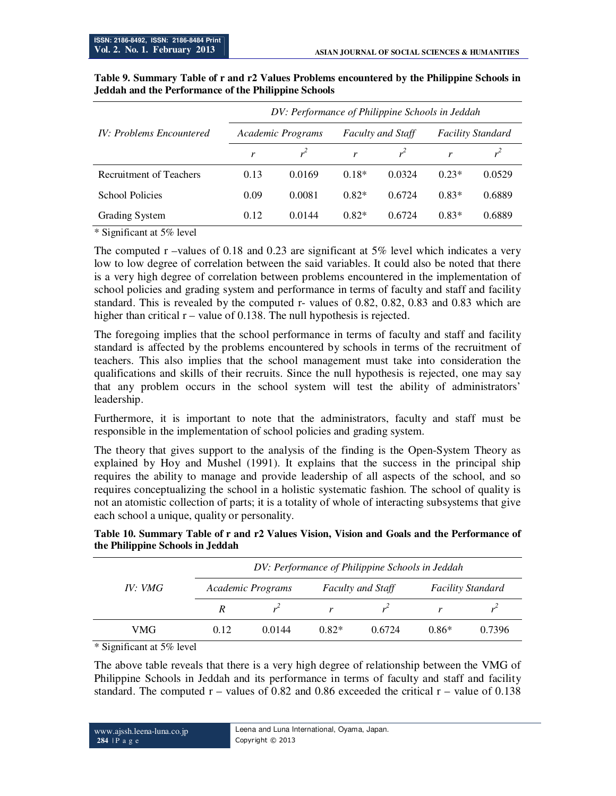|                                 | DV: Performance of Philippine Schools in Jeddah |        |         |                          |                          |        |  |  |
|---------------------------------|-------------------------------------------------|--------|---------|--------------------------|--------------------------|--------|--|--|
| <b>IV: Problems Encountered</b> | Academic Programs                               |        |         | <b>Faculty and Staff</b> | <b>Facility Standard</b> |        |  |  |
|                                 |                                                 |        | r       |                          | r                        |        |  |  |
| Recruitment of Teachers         | 0.13                                            | 0.0169 | $0.18*$ | 0.0324                   | $0.23*$                  | 0.0529 |  |  |
| <b>School Policies</b>          | 0.09                                            | 0.0081 | $0.82*$ | 0.6724                   | $0.83*$                  | 0.6889 |  |  |
| Grading System                  | 0.12                                            | 0.0144 | $0.82*$ | 0.6724                   | $0.83*$                  | 0.6889 |  |  |

#### **Table 9. Summary Table of r and r2 Values Problems encountered by the Philippine Schools in Jeddah and the Performance of the Philippine Schools**

\* Significant at 5% level

The computed r –values of 0.18 and 0.23 are significant at 5% level which indicates a very low to low degree of correlation between the said variables. It could also be noted that there is a very high degree of correlation between problems encountered in the implementation of school policies and grading system and performance in terms of faculty and staff and facility standard. This is revealed by the computed r- values of 0.82, 0.82, 0.83 and 0.83 which are higher than critical  $r -$  value of 0.138. The null hypothesis is rejected.

The foregoing implies that the school performance in terms of faculty and staff and facility standard is affected by the problems encountered by schools in terms of the recruitment of teachers. This also implies that the school management must take into consideration the qualifications and skills of their recruits. Since the null hypothesis is rejected, one may say that any problem occurs in the school system will test the ability of administrators' leadership.

Furthermore, it is important to note that the administrators, faculty and staff must be responsible in the implementation of school policies and grading system.

The theory that gives support to the analysis of the finding is the Open-System Theory as explained by Hoy and Mushel (1991). It explains that the success in the principal ship requires the ability to manage and provide leadership of all aspects of the school, and so requires conceptualizing the school in a holistic systematic fashion. The school of quality is not an atomistic collection of parts; it is a totality of whole of interacting subsystems that give each school a unique, quality or personality.

| IV:VMG | DV: Performance of Philippine Schools in Jeddah |        |         |                          |                          |        |  |  |  |
|--------|-------------------------------------------------|--------|---------|--------------------------|--------------------------|--------|--|--|--|
|        | Academic Programs                               |        |         | <b>Faculty and Staff</b> | <b>Facility Standard</b> |        |  |  |  |
|        | R                                               |        |         |                          |                          |        |  |  |  |
| VMG    | 0.12                                            | 0.0144 | $0.82*$ | 0.6724                   | $0.86*$                  | 0.7396 |  |  |  |

**Table 10. Summary Table of r and r2 Values Vision, Vision and Goals and the Performance of the Philippine Schools in Jeddah** 

\* Significant at 5% level

The above table reveals that there is a very high degree of relationship between the VMG of Philippine Schools in Jeddah and its performance in terms of faculty and staff and facility standard. The computed  $r -$  values of 0.82 and 0.86 exceeded the critical  $r -$  value of 0.138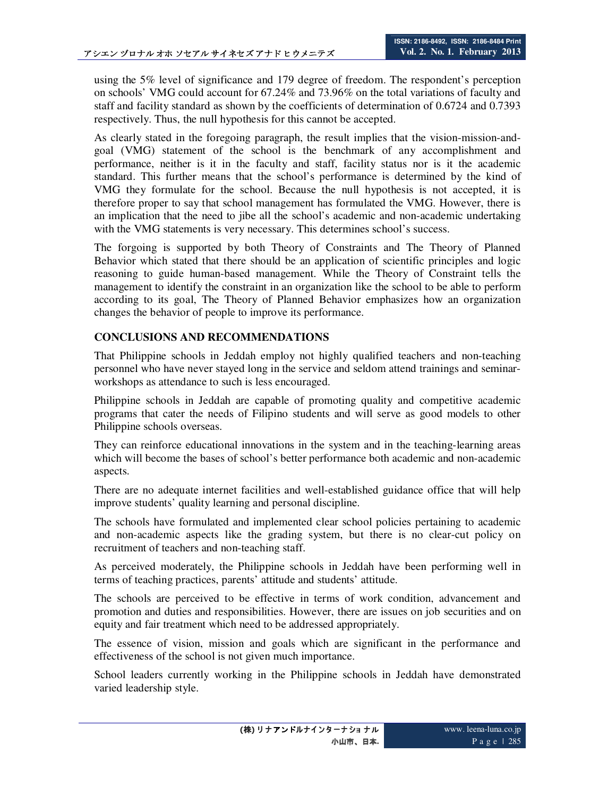using the 5% level of significance and 179 degree of freedom. The respondent's perception on schools' VMG could account for 67.24% and 73.96% on the total variations of faculty and staff and facility standard as shown by the coefficients of determination of 0.6724 and 0.7393 respectively. Thus, the null hypothesis for this cannot be accepted.

As clearly stated in the foregoing paragraph, the result implies that the vision-mission-andgoal (VMG) statement of the school is the benchmark of any accomplishment and performance, neither is it in the faculty and staff, facility status nor is it the academic standard. This further means that the school's performance is determined by the kind of VMG they formulate for the school. Because the null hypothesis is not accepted, it is therefore proper to say that school management has formulated the VMG. However, there is an implication that the need to jibe all the school's academic and non-academic undertaking with the VMG statements is very necessary. This determines school's success.

The forgoing is supported by both Theory of Constraints and The Theory of Planned Behavior which stated that there should be an application of scientific principles and logic reasoning to guide human-based management. While the Theory of Constraint tells the management to identify the constraint in an organization like the school to be able to perform according to its goal, The Theory of Planned Behavior emphasizes how an organization changes the behavior of people to improve its performance.

# **CONCLUSIONS AND RECOMMENDATIONS**

That Philippine schools in Jeddah employ not highly qualified teachers and non-teaching personnel who have never stayed long in the service and seldom attend trainings and seminarworkshops as attendance to such is less encouraged.

Philippine schools in Jeddah are capable of promoting quality and competitive academic programs that cater the needs of Filipino students and will serve as good models to other Philippine schools overseas.

They can reinforce educational innovations in the system and in the teaching-learning areas which will become the bases of school's better performance both academic and non-academic aspects.

There are no adequate internet facilities and well-established guidance office that will help improve students' quality learning and personal discipline.

The schools have formulated and implemented clear school policies pertaining to academic and non-academic aspects like the grading system, but there is no clear-cut policy on recruitment of teachers and non-teaching staff.

As perceived moderately, the Philippine schools in Jeddah have been performing well in terms of teaching practices, parents' attitude and students' attitude.

The schools are perceived to be effective in terms of work condition, advancement and promotion and duties and responsibilities. However, there are issues on job securities and on equity and fair treatment which need to be addressed appropriately.

The essence of vision, mission and goals which are significant in the performance and effectiveness of the school is not given much importance.

School leaders currently working in the Philippine schools in Jeddah have demonstrated varied leadership style.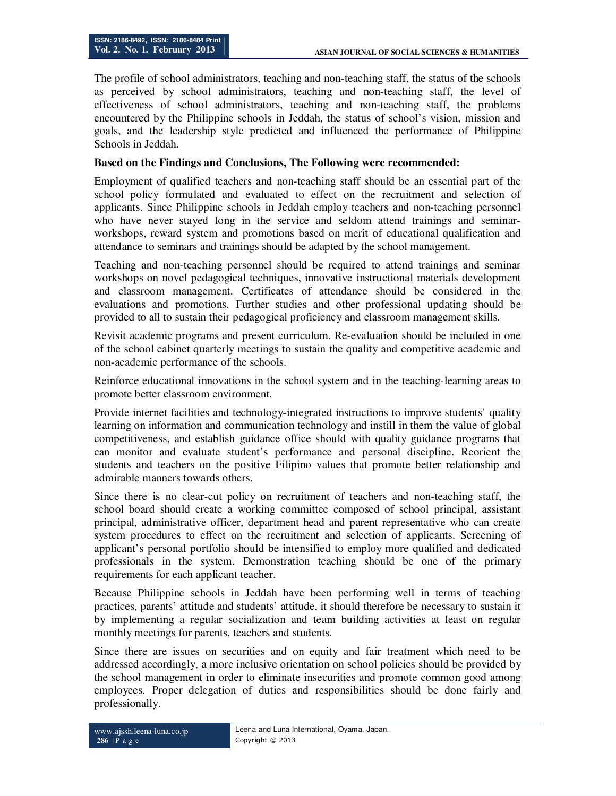The profile of school administrators, teaching and non-teaching staff, the status of the schools as perceived by school administrators, teaching and non-teaching staff, the level of effectiveness of school administrators, teaching and non-teaching staff, the problems encountered by the Philippine schools in Jeddah, the status of school's vision, mission and goals, and the leadership style predicted and influenced the performance of Philippine Schools in Jeddah.

## **Based on the Findings and Conclusions, The Following were recommended:**

Employment of qualified teachers and non-teaching staff should be an essential part of the school policy formulated and evaluated to effect on the recruitment and selection of applicants. Since Philippine schools in Jeddah employ teachers and non-teaching personnel who have never stayed long in the service and seldom attend trainings and seminarworkshops, reward system and promotions based on merit of educational qualification and attendance to seminars and trainings should be adapted by the school management.

Teaching and non-teaching personnel should be required to attend trainings and seminar workshops on novel pedagogical techniques, innovative instructional materials development and classroom management. Certificates of attendance should be considered in the evaluations and promotions. Further studies and other professional updating should be provided to all to sustain their pedagogical proficiency and classroom management skills.

Revisit academic programs and present curriculum. Re-evaluation should be included in one of the school cabinet quarterly meetings to sustain the quality and competitive academic and non-academic performance of the schools.

Reinforce educational innovations in the school system and in the teaching-learning areas to promote better classroom environment.

Provide internet facilities and technology-integrated instructions to improve students' quality learning on information and communication technology and instill in them the value of global competitiveness, and establish guidance office should with quality guidance programs that can monitor and evaluate student's performance and personal discipline. Reorient the students and teachers on the positive Filipino values that promote better relationship and admirable manners towards others.

Since there is no clear-cut policy on recruitment of teachers and non-teaching staff, the school board should create a working committee composed of school principal, assistant principal, administrative officer, department head and parent representative who can create system procedures to effect on the recruitment and selection of applicants. Screening of applicant's personal portfolio should be intensified to employ more qualified and dedicated professionals in the system. Demonstration teaching should be one of the primary requirements for each applicant teacher.

Because Philippine schools in Jeddah have been performing well in terms of teaching practices, parents' attitude and students' attitude, it should therefore be necessary to sustain it by implementing a regular socialization and team building activities at least on regular monthly meetings for parents, teachers and students.

Since there are issues on securities and on equity and fair treatment which need to be addressed accordingly, a more inclusive orientation on school policies should be provided by the school management in order to eliminate insecurities and promote common good among employees. Proper delegation of duties and responsibilities should be done fairly and professionally.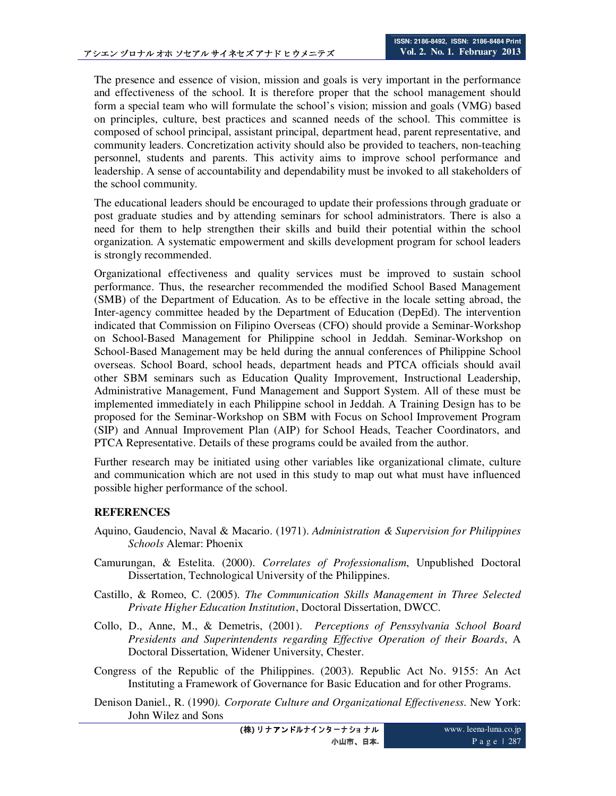The presence and essence of vision, mission and goals is very important in the performance and effectiveness of the school. It is therefore proper that the school management should form a special team who will formulate the school's vision; mission and goals (VMG) based on principles, culture, best practices and scanned needs of the school. This committee is composed of school principal, assistant principal, department head, parent representative, and community leaders. Concretization activity should also be provided to teachers, non-teaching personnel, students and parents. This activity aims to improve school performance and leadership. A sense of accountability and dependability must be invoked to all stakeholders of the school community.

The educational leaders should be encouraged to update their professions through graduate or post graduate studies and by attending seminars for school administrators. There is also a need for them to help strengthen their skills and build their potential within the school organization. A systematic empowerment and skills development program for school leaders is strongly recommended.

Organizational effectiveness and quality services must be improved to sustain school performance. Thus, the researcher recommended the modified School Based Management (SMB) of the Department of Education. As to be effective in the locale setting abroad, the Inter-agency committee headed by the Department of Education (DepEd). The intervention indicated that Commission on Filipino Overseas (CFO) should provide a Seminar-Workshop on School-Based Management for Philippine school in Jeddah. Seminar-Workshop on School-Based Management may be held during the annual conferences of Philippine School overseas. School Board, school heads, department heads and PTCA officials should avail other SBM seminars such as Education Quality Improvement, Instructional Leadership, Administrative Management, Fund Management and Support System. All of these must be implemented immediately in each Philippine school in Jeddah. A Training Design has to be proposed for the Seminar-Workshop on SBM with Focus on School Improvement Program (SIP) and Annual Improvement Plan (AIP) for School Heads, Teacher Coordinators, and PTCA Representative. Details of these programs could be availed from the author.

Further research may be initiated using other variables like organizational climate, culture and communication which are not used in this study to map out what must have influenced possible higher performance of the school.

### **REFERENCES**

- Aquino, Gaudencio, Naval & Macario. (1971). *Administration & Supervision for Philippines Schools* Alemar: Phoenix
- Camurungan, & Estelita. (2000). *Correlates of Professionalism*, Unpublished Doctoral Dissertation, Technological University of the Philippines.
- Castillo, & Romeo, C. (2005). *The Communication Skills Management in Three Selected Private Higher Education Institution*, Doctoral Dissertation, DWCC.
- Collo, D., Anne, M., & Demetris, (2001). *Perceptions of Penssylvania School Board Presidents and Superintendents regarding Effective Operation of their Boards*, A Doctoral Dissertation, Widener University, Chester.
- Congress of the Republic of the Philippines. (2003). Republic Act No. 9155: An Act Instituting a Framework of Governance for Basic Education and for other Programs.
- Denison Daniel., R. (1990*). Corporate Culture and Organizational Effectiveness*. New York: John Wilez and Sons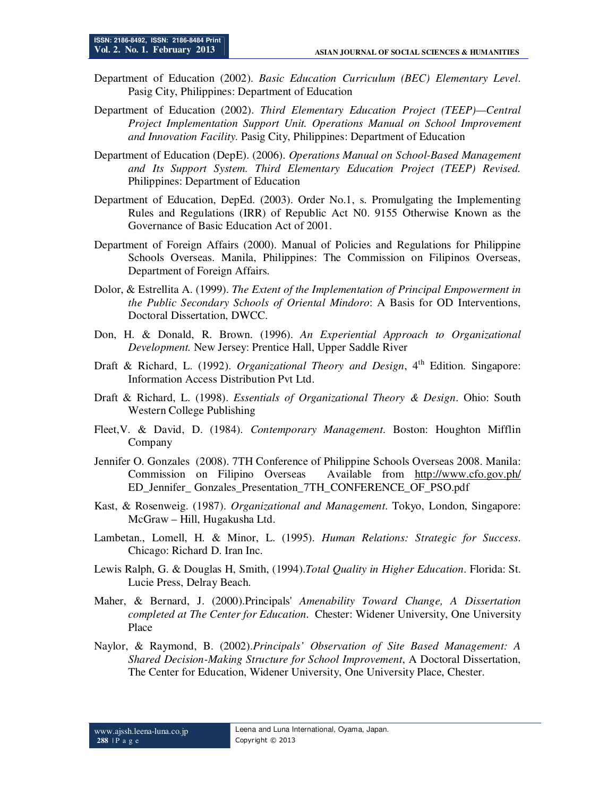- Department of Education (2002). *Basic Education Curriculum (BEC) Elementary Level*. Pasig City, Philippines: Department of Education
- Department of Education (2002). *Third Elementary Education Project (TEEP)—Central Project Implementation Support Unit. Operations Manual on School Improvement and Innovation Facility.* Pasig City, Philippines: Department of Education
- Department of Education (DepE). (2006). *Operations Manual on School-Based Management and Its Support System. Third Elementary Education Project (TEEP) Revised.* Philippines: Department of Education
- Department of Education, DepEd. (2003). Order No.1, s. Promulgating the Implementing Rules and Regulations (IRR) of Republic Act N0. 9155 Otherwise Known as the Governance of Basic Education Act of 2001.
- Department of Foreign Affairs (2000). Manual of Policies and Regulations for Philippine Schools Overseas. Manila, Philippines: The Commission on Filipinos Overseas, Department of Foreign Affairs.
- Dolor, & Estrellita A. (1999). *The Extent of the Implementation of Principal Empowerment in the Public Secondary Schools of Oriental Mindoro*: A Basis for OD Interventions, Doctoral Dissertation, DWCC.
- Don, H. & Donald, R. Brown. (1996). *An Experiential Approach to Organizational Development.* New Jersey: Prentice Hall, Upper Saddle River
- Draft & Richard, L. (1992). *Organizational Theory and Design*, 4<sup>th</sup> Edition. Singapore: Information Access Distribution Pvt Ltd.
- Draft & Richard, L. (1998). *Essentials of Organizational Theory & Design*. Ohio: South Western College Publishing
- Fleet,V. & David, D. (1984). *Contemporary Management*. Boston: Houghton Mifflin Company
- Jennifer O. Gonzales (2008). 7TH Conference of Philippine Schools Overseas 2008. Manila: Commission on Filipino Overseas Available from http://www.cfo.gov.ph/ ED\_Jennifer\_ Gonzales\_Presentation\_7TH\_CONFERENCE\_OF\_PSO.pdf
- Kast, & Rosenweig. (1987). *Organizational and Management*. Tokyo, London, Singapore: McGraw – Hill, Hugakusha Ltd.
- Lambetan., Lomell, H. & Minor, L. (1995). *Human Relations: Strategic for Success*. Chicago: Richard D. Iran Inc.
- Lewis Ralph, G. & Douglas H, Smith, (1994).*Total Quality in Higher Education*. Florida: St. Lucie Press, Delray Beach.
- Maher, & Bernard, J. (2000).Principals' *Amenability Toward Change, A Dissertation completed at The Center for Education*. Chester: Widener University, One University Place
- Naylor, & Raymond, B. (2002).*Principals' Observation of Site Based Management: A Shared Decision-Making Structure for School Improvement*, A Doctoral Dissertation, The Center for Education, Widener University, One University Place, Chester.